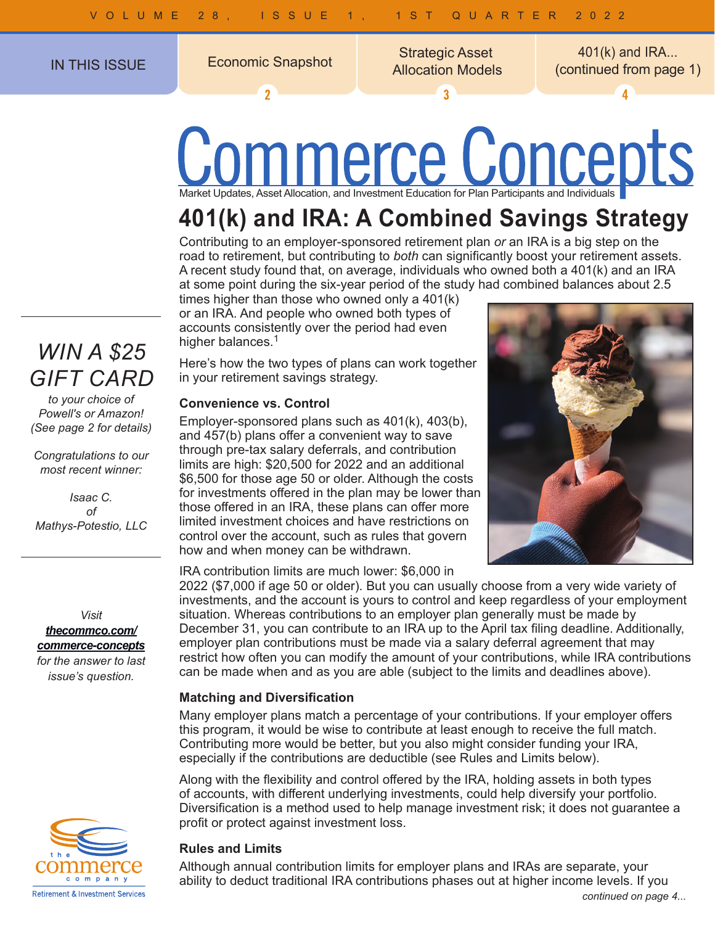$\overline{\mathbf{z}}$ 

IN THIS ISSUE **Strategic Asset**<br>Allocation Models

 $\overline{3}$ 

Allocation Models Economic Snapshot 401(k) and IRA... (continued from page 1)

# Communicates, Asset Allocation, and Investment Education for Plan Participants and Individuals

## **401(k) and IRA: A Combined Savings Strategy**

Contributing to an employer-sponsored retirement plan *or* an IRA is a big step on the road to retirement, but contributing to *both* can significantly boost your retirement assets. A recent study found that, on average, individuals who owned both a 401(k) and an IRA at some point during the six-year period of the study had combined balances about 2.5

times higher than those who owned only a 401(k) or an IRA. And people who owned both types of accounts consistently over the period had even higher balances.<sup>1</sup>

Here's how the two types of plans can work together in your retirement savings strategy.

## **Convenience vs. Control**

Employer-sponsored plans such as 401(k), 403(b), and 457(b) plans offer a convenient way to save through pre-tax salary deferrals, and contribution limits are high: \$20,500 for 2022 and an additional \$6,500 for those age 50 or older. Although the costs for investments offered in the plan may be lower than those offered in an IRA, these plans can offer more limited investment choices and have restrictions on control over the account, such as rules that govern how and when money can be withdrawn.

IRA contribution limits are much lower: \$6,000 in

2022 (\$7,000 if age 50 or older). But you can usually choose from a very wide variety of investments, and the account is yours to control and keep regardless of your employment situation. Whereas contributions to an employer plan generally must be made by December 31, you can contribute to an IRA up to the April tax filing deadline. Additionally, employer plan contributions must be made via a salary deferral agreement that may restrict how often you can modify the amount of your contributions, while IRA contributions can be made when and as you are able (subject to the limits and deadlines above).

## **Matching and Diversification**

Many employer plans match a percentage of your contributions. If your employer offers this program, it would be wise to contribute at least enough to receive the full match. Contributing more would be better, but you also might consider funding your IRA, especially if the contributions are deductible (see Rules and Limits below).

Along with the flexibility and control offered by the IRA, holding assets in both types of accounts, with different underlying investments, could help diversify your portfolio. Diversification is a method used to help manage investment risk; it does not guarantee a profit or protect against investment loss.

## **Rules and Limits**

Although annual contribution limits for employer plans and IRAs are separate, your ability to deduct traditional IRA contributions phases out at higher income levels. If you *continued on page 4...*

## *WIN A \$25 GIFT CARD*

*to your choice of Powell's or Amazon! (See page 2 for details)*

*Congratulations to our most recent winner:*

*Isaac C. of Mathys-Potestio, LLC*

*Visit [thecommco.com/](http://thecommco.com/commerce-concepts) [commerce-concepts](http://thecommco.com/commerce-concepts) for the answer to last* 

*issue's question.*



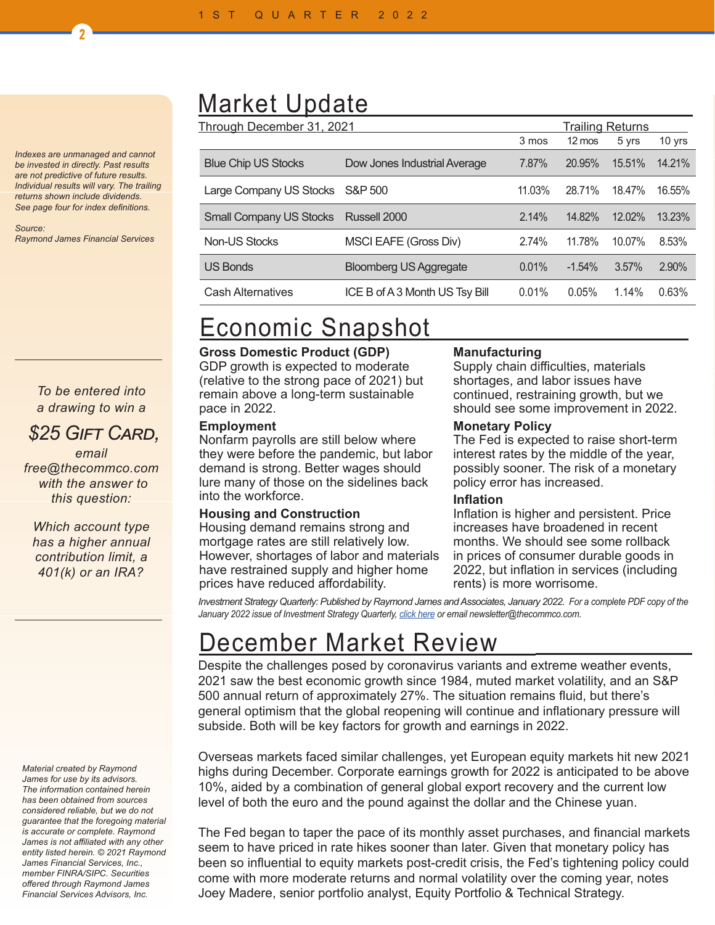*Indexes are unmanaged and cannot be invested in directly. Past results are not predictive of future results. Individual results will vary. The trailing returns shown include dividends. See page four for index definitions.*

2

*Source: Raymond James Financial Services*

## *To be entered into a drawing to win a*

## *\$25 Gift Card,*

*email free@thecommco.com with the answer to this question:*

*Which account type has a higher annual contribution limit, a 401(k) or an IRA?*

#### *Material created by Raymond James for use by its advisors. The information contained herein has been obtained from sources considered reliable, but we do not guarantee that the foregoing material is accurate or complete. Raymond James is not affiliated with any other entity listed herein. © 2021 Raymond James Financial Services, Inc., member FINRA/SIPC. Securities offered through Raymond James Financial Services Advisors, Inc.*

## Market Update

| Through December 31, 2021      |                                |        | <b>Trailing Returns</b> |        |        |  |
|--------------------------------|--------------------------------|--------|-------------------------|--------|--------|--|
|                                |                                | 3 mos  | $12 \text{ mos}$        | 5 yrs  | 10 yrs |  |
| <b>Blue Chip US Stocks</b>     | Dow Jones Industrial Average   | 7.87%  | 20.95%                  | 15.51% | 14.21% |  |
| Large Company US Stocks        | S&P 500                        | 11.03% | 28.71%                  | 18.47% | 16.55% |  |
| <b>Small Company US Stocks</b> | Russell 2000                   | 2.14%  | 14.82%                  | 12.02% | 13.23% |  |
| Non-US Stocks                  | MSCI EAFE (Gross Div)          | 2.74%  | 11.78%                  | 10.07% | 8.53%  |  |
| <b>US Bonds</b>                | <b>Bloomberg US Aggregate</b>  | 0.01%  | $-1.54%$                | 3.57%  | 2.90%  |  |
| <b>Cash Alternatives</b>       | ICE B of A 3 Month US Tsy Bill | 0.01%  | 0.05%                   | 1.14%  | 0.63%  |  |

## Economic Snapshot

## **Gross Domestic Product (GDP)**

GDP growth is expected to moderate (relative to the strong pace of 2021) but remain above a long-term sustainable pace in 2022.

## **Employment**

Nonfarm payrolls are still below where they were before the pandemic, but labor demand is strong. Better wages should lure many of those on the sidelines back into the workforce.

## **Housing and Construction**

Housing demand remains strong and mortgage rates are still relatively low. However, shortages of labor and materials have restrained supply and higher home prices have reduced affordability.

## **Manufacturing**

Supply chain difficulties, materials shortages, and labor issues have continued, restraining growth, but we should see some improvement in 2022.

#### **Monetary Policy**

The Fed is expected to raise short-term interest rates by the middle of the year, possibly sooner. The risk of a monetary policy error has increased.

#### **Inflation**

Inflation is higher and persistent. Price increases have broadened in recent months. We should see some rollback in prices of consumer durable goods in 2022, but inflation in services (including rents) is more worrisome.

*Investment Strategy Quarterly: Published by Raymond James and Associates, January 2022. For a complete PDF copy of the January 2022 issue of Investment Strategy Quarterly, [click here](https://thecommco.com/wp-content/uploads/2019/01/ISQ-Q1-22.pdf) or email newsletter@thecommco.com.*

## December Market Review<br>Despite the challenges posed by coronavirus variants and extreme weather events,

2021 saw the best economic growth since 1984, muted market volatility, and an S&P 500 annual return of approximately 27%. The situation remains fluid, but there's general optimism that the global reopening will continue and inflationary pressure will subside. Both will be key factors for growth and earnings in 2022.

Overseas markets faced similar challenges, yet European equity markets hit new 2021 highs during December. Corporate earnings growth for 2022 is anticipated to be above 10%, aided by a combination of general global export recovery and the current low level of both the euro and the pound against the dollar and the Chinese yuan.

The Fed began to taper the pace of its monthly asset purchases, and financial markets seem to have priced in rate hikes sooner than later. Given that monetary policy has been so influential to equity markets post-credit crisis, the Fed's tightening policy could come with more moderate returns and normal volatility over the coming year, notes Joey Madere, senior portfolio analyst, Equity Portfolio & Technical Strategy.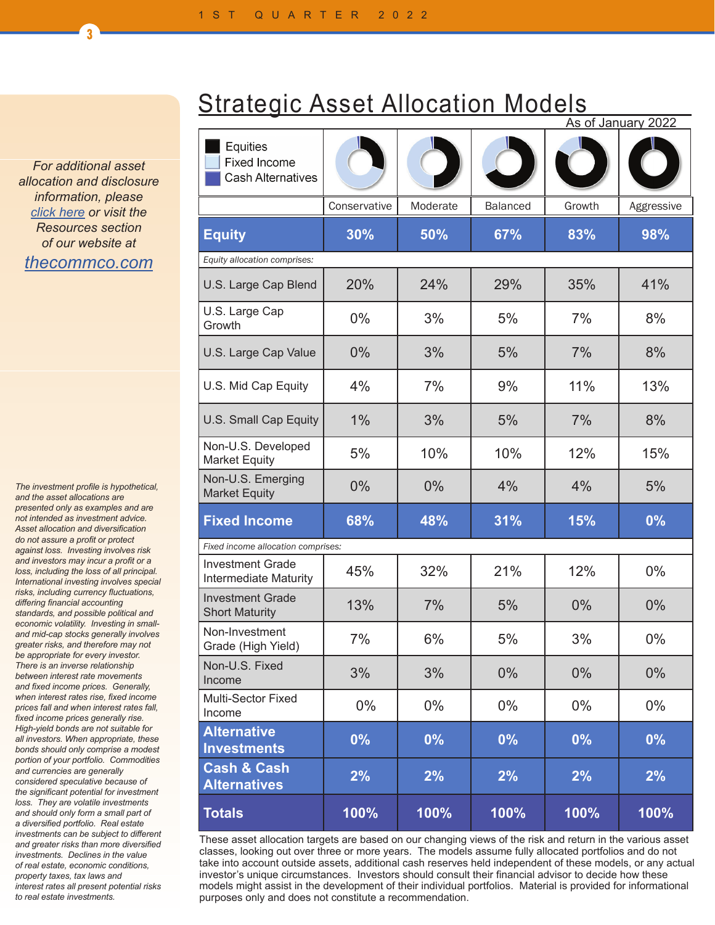*For additional asset allocation and disclosure information, please [click here](https://thecommco.com/wp-content/uploads/2018/11/Asset-Allocation-Models.pdf) or visit the Resources section of our website at [thecommco.com](http://thecommco.com)*

 $\overline{3}$ 

*The investment profile is hypothetical, and the asset allocations are presented only as examples and are not intended as investment advice. Asset allocation and diversification do not assure a profit or protect against loss. Investing involves risk and investors may incur a profit or a loss, including the loss of all principal. International investing involves special risks, including currency fluctuations, differing financial accounting standards, and possible political and economic volatility. Investing in smalland mid-cap stocks generally involves greater risks, and therefore may not be appropriate for every investor. There is an inverse relationship between interest rate movements and fixed income prices. Generally, when interest rates rise, fixed income prices fall and when interest rates fall, fixed income prices generally rise. High-yield bonds are not suitable for all investors. When appropriate, these bonds should only comprise a modest portion of your portfolio. Commodities and currencies are generally considered speculative because of the significant potential for investment loss. They are volatile investments and should only form a small part of a diversified portfolio. Real estate investments can be subject to different and greater risks than more diversified investments. Declines in the value of real estate, economic conditions, property taxes, tax laws and interest rates all present potential risks to real estate investments.*

|  | <b>Strategic Asset Allocation Models</b> |  |
|--|------------------------------------------|--|
|  |                                          |  |

|                                                         |              | As of January 2022 |                 |        |            |
|---------------------------------------------------------|--------------|--------------------|-----------------|--------|------------|
| Equities<br>Fixed Income<br><b>Cash Alternatives</b>    |              |                    |                 |        |            |
|                                                         | Conservative | Moderate           | <b>Balanced</b> | Growth | Aggressive |
| <b>Equity</b>                                           | 30%          | 50%                | 67%             | 83%    | 98%        |
| Equity allocation comprises:                            |              |                    |                 |        |            |
| U.S. Large Cap Blend                                    | 20%          | 24%                | 29%             | 35%    | 41%        |
| U.S. Large Cap<br>Growth                                | $0\%$        | 3%                 | 5%              | 7%     | 8%         |
| U.S. Large Cap Value                                    | 0%           | 3%                 | 5%              | 7%     | 8%         |
| U.S. Mid Cap Equity                                     | 4%           | 7%                 | 9%              | 11%    | 13%        |
| U.S. Small Cap Equity                                   | 1%           | 3%                 | 5%              | 7%     | 8%         |
| Non-U.S. Developed<br><b>Market Equity</b>              | 5%           | 10%                | 10%             | 12%    | 15%        |
| Non-U.S. Emerging<br><b>Market Equity</b>               | 0%           | 0%                 | 4%              | 4%     | 5%         |
| <b>Fixed Income</b>                                     | 68%          | 48%                | 31%             | 15%    | 0%         |
| Fixed income allocation comprises:                      |              |                    |                 |        |            |
| <b>Investment Grade</b><br><b>Intermediate Maturity</b> | 45%          | 32%                | 21%             | 12%    | $0\%$      |
| <b>Investment Grade</b><br><b>Short Maturity</b>        | 13%          | 7%                 | 5%              | 0%     | $0\%$      |
| Non-Investment<br>Grade (High Yield)                    | 7%           | 6%                 | 5%              | 3%     | $0\%$      |
| Non-U.S. Fixed<br>Income                                | 3%           | 3%                 | 0%              | 0%     | $0\%$      |
| Multi-Sector Fixed<br>Income                            | $0\%$        | $0\%$              | 0%              | $0\%$  | $0\%$      |
| <b>Alternative</b><br><b>Investments</b>                | $0\%$        | $0\%$              | 0%              | 0%     | 0%         |
| <b>Cash &amp; Cash</b><br><b>Alternatives</b>           | 2%           | 2%                 | 2%              | 2%     | 2%         |
| <b>Totals</b>                                           | 100%         | 100%               | 100%            | 100%   | 100%       |

These asset allocation targets are based on our changing views of the risk and return in the various asset classes, looking out over three or more years. The models assume fully allocated portfolios and do not take into account outside assets, additional cash reserves held independent of these models, or any actual investor's unique circumstances. Investors should consult their financial advisor to decide how these models might assist in the development of their individual portfolios. Material is provided for informational purposes only and does not constitute a recommendation.